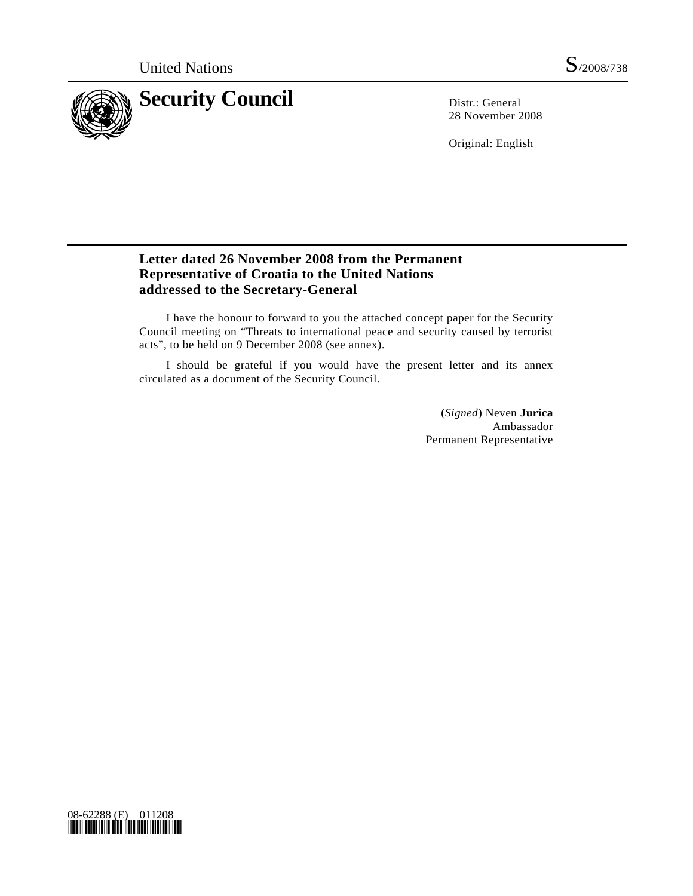

28 November 2008

Original: English

## **Letter dated 26 November 2008 from the Permanent Representative of Croatia to the United Nations addressed to the Secretary-General**

 I have the honour to forward to you the attached concept paper for the Security Council meeting on "Threats to international peace and security caused by terrorist acts", to be held on 9 December 2008 (see annex).

 I should be grateful if you would have the present letter and its annex circulated as a document of the Security Council.

> (*Signed*) Neven **Jurica**  Ambassador Permanent Representative

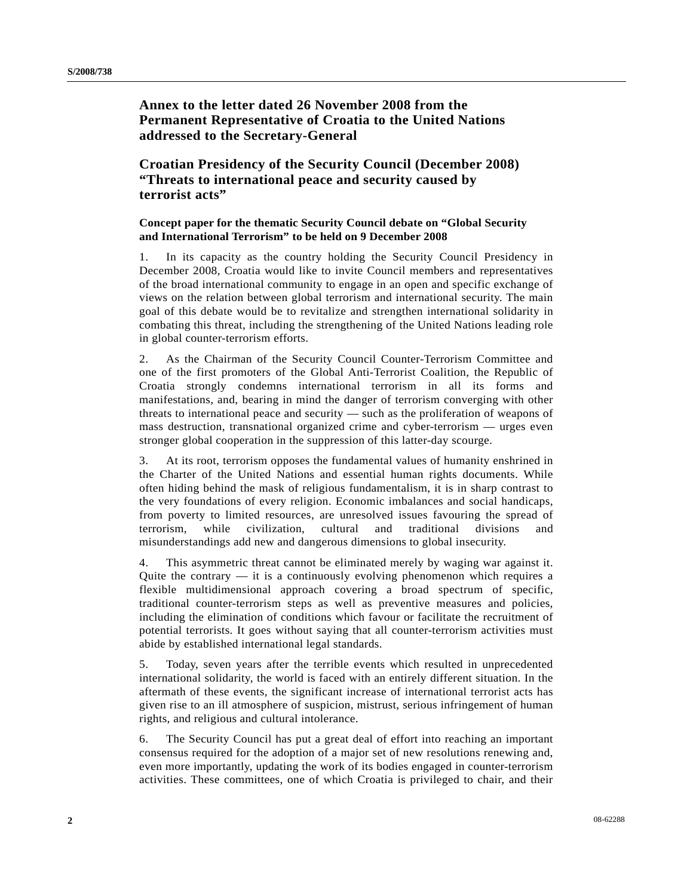## **Annex to the letter dated 26 November 2008 from the Permanent Representative of Croatia to the United Nations addressed to the Secretary-General**

## **Croatian Presidency of the Security Council (December 2008) "Threats to international peace and security caused by terrorist acts"**

## **Concept paper for the thematic Security Council debate on "Global Security and International Terrorism" to be held on 9 December 2008**

1. In its capacity as the country holding the Security Council Presidency in December 2008, Croatia would like to invite Council members and representatives of the broad international community to engage in an open and specific exchange of views on the relation between global terrorism and international security. The main goal of this debate would be to revitalize and strengthen international solidarity in combating this threat, including the strengthening of the United Nations leading role in global counter-terrorism efforts.

2. As the Chairman of the Security Council Counter-Terrorism Committee and one of the first promoters of the Global Anti-Terrorist Coalition, the Republic of Croatia strongly condemns international terrorism in all its forms and manifestations, and, bearing in mind the danger of terrorism converging with other threats to international peace and security — such as the proliferation of weapons of mass destruction, transnational organized crime and cyber-terrorism — urges even stronger global cooperation in the suppression of this latter-day scourge.

3. At its root, terrorism opposes the fundamental values of humanity enshrined in the Charter of the United Nations and essential human rights documents. While often hiding behind the mask of religious fundamentalism, it is in sharp contrast to the very foundations of every religion. Economic imbalances and social handicaps, from poverty to limited resources, are unresolved issues favouring the spread of terrorism, while civilization, cultural and traditional divisions and misunderstandings add new and dangerous dimensions to global insecurity.

4. This asymmetric threat cannot be eliminated merely by waging war against it. Quite the contrary  $\frac{d}{dx}$  it is a continuously evolving phenomenon which requires a flexible multidimensional approach covering a broad spectrum of specific, traditional counter-terrorism steps as well as preventive measures and policies, including the elimination of conditions which favour or facilitate the recruitment of potential terrorists. It goes without saying that all counter-terrorism activities must abide by established international legal standards.

5. Today, seven years after the terrible events which resulted in unprecedented international solidarity, the world is faced with an entirely different situation. In the aftermath of these events, the significant increase of international terrorist acts has given rise to an ill atmosphere of suspicion, mistrust, serious infringement of human rights, and religious and cultural intolerance.

6. The Security Council has put a great deal of effort into reaching an important consensus required for the adoption of a major set of new resolutions renewing and, even more importantly, updating the work of its bodies engaged in counter-terrorism activities. These committees, one of which Croatia is privileged to chair, and their